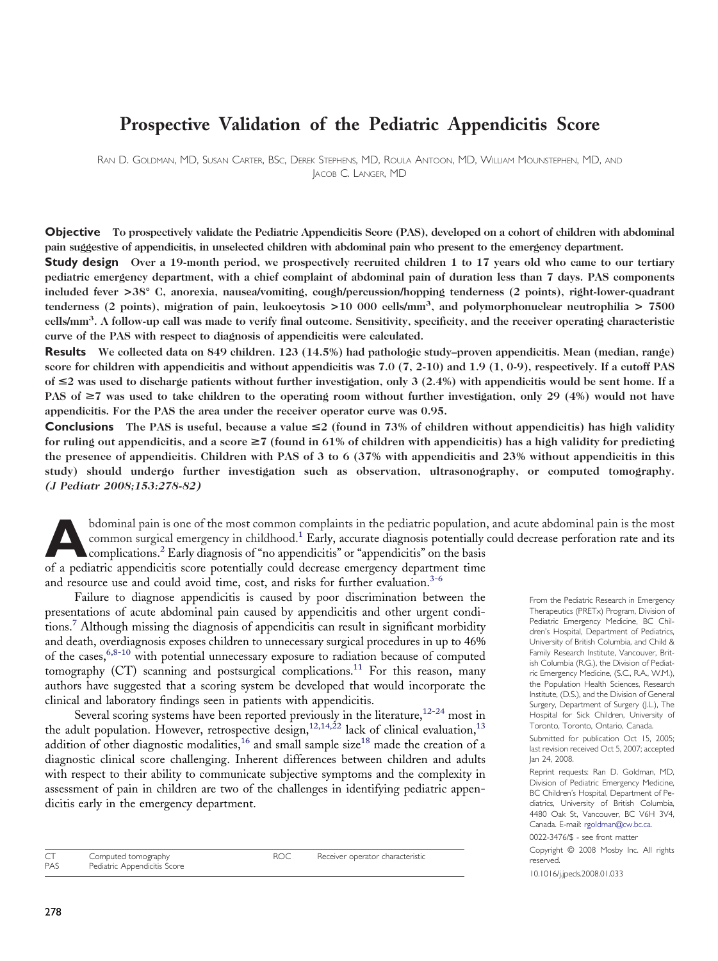# **Prospective Validation of the Pediatric Appendicitis Score**

RAN D. GOLDMAN, MD, SUSAN CARTER, BSC, DEREK STEPHENS, MD, ROULA ANTOON, MD, WILLIAM MOUNSTEPHEN, MD, AND JACOB C. LANGER, MD

**Objective** To prospectively validate the Pediatric Appendicitis Score (PAS), developed on a cohort of children with abdominal pain suggestive of appendicitis, in unselected children with abdominal pain who present to the emergency department.

**Study design** Over a 19-month period, we prospectively recruited children 1 to 17 years old who came to our tertiary pediatric emergency department, with a chief complaint of abdominal pain of duration less than 7 days. PAS components **included fever >38° C, anorexia, nausea/vomiting, cough/percussion/hopping tenderness (2 points), right-lower-quadrant** tenderness (2 points), migration of pain, leukocytosis >10 000 cells/mm<sup>3</sup>, and polymorphonuclear neutrophilia > 7500 cells/mm<sup>3</sup>. A follow-up call was made to verify final outcome. Sensitivity, specificity, and the receiver operating characteristic **curve of the PAS with respect to diagnosis of appendicitis were calculated.**

Results We collected data on 849 children. 123 (14.5%) had pathologic study-proven appendicitis. Mean (median, range) score for children with appendicitis and without appendicitis was  $7.0$   $(7, 2-10)$  and  $1.9$   $(1, 0-9)$ , respectively. If a cutoff PAS of  $\leq$  2 was used to discharge patients without further investigation, only 3 (2.4%) with appendicitis would be sent home. If a PAS of  $\geq$ 7 was used to take children to the operating room without further investigation, only 29 (4%) would not have **appendicitis. For the PAS the area under the receiver operator curve was 0.95.**

**Conclusions** The PAS is useful, because a value  $\leq 2$  (found in 73% of children without appendicitis) has high validity for ruling out appendicitis, and a score  $\geq 7$  (found in 61% of children with appendicitis) has a high validity for predicting the presence of appendicitis. Children with PAS of 3 to 6 (37% with appendicitis and 23% without appendicitis in this **study) should undergo further investigation such as observation, ultrasonography, or computed tomography.** *(J Pediatr 2008;153:278-82)*

bdominal pain is one of the most common complaints in the pediatric population, and acute abdominal pain is the most<br>common surgical emergency in childhood.<sup>1</sup> Early, accurate diagnosis potentially could decrease perforati common surgical emergency in childhood.<sup>[1](#page-4-0)</sup> Early, accurate diagnosis potentially could decrease perforation rate and its complications.<sup>[2](#page-4-0)</sup> Early diagnosis of "no appendicitis" or "appendicitis" on the basis

of a pediatric appendicitis score potentially could decrease emergency department time and resource use and could avoid time, cost, and risks for further evaluation.<sup>[3-6](#page-4-0)</sup>

Failure to diagnose appendicitis is caused by poor discrimination between the presentations of acute abdominal pain caused by appendicitis and other urgent conditions.[7](#page-4-0) Although missing the diagnosis of appendicitis can result in significant morbidity and death, overdiagnosis exposes children to unnecessary surgical procedures in up to 46% of the cases,  $6,8-10$  with potential unnecessary exposure to radiation because of computed tomography  $(CT)$  scanning and postsurgical complications.<sup>[11](#page-4-0)</sup> For this reason, many authors have suggested that a scoring system be developed that would incorporate the clinical and laboratory findings seen in patients with appendicitis.

Several scoring systems have been reported previously in the literature,<sup>[12-24](#page-4-0)</sup> most in the adult population. However, retrospective design,<sup>[12,14,22](#page-4-0)</sup> lack of clinical evaluation,<sup>[13](#page-4-0)</sup> addition of other diagnostic modalities,<sup>[16](#page-4-0)</sup> and small sample size<sup>[18](#page-4-0)</sup> made the creation of a diagnostic clinical score challenging. Inherent differences between children and adults with respect to their ability to communicate subjective symptoms and the complexity in assessment of pain in children are two of the challenges in identifying pediatric appendicitis early in the emergency department.

ROC Receiver operator characteristic

From the Pediatric Research in Emergency Therapeutics (PRETx) Program, Division of Pediatric Emergency Medicine, BC Children's Hospital, Department of Pediatrics, University of British Columbia, and Child & Family Research Institute, Vancouver, British Columbia (R.G.), the Division of Pediatric Emergency Medicine, (S.C., R.A., W.M.), the Population Health Sciences, Research Institute, (D.S.), and the Division of General Surgery, Department of Surgery (J.L.), The Hospital for Sick Children, University of Toronto, Toronto, Ontario, Canada.

Submitted for publication Oct 15, 2005; last revision received Oct 5, 2007; accepted lan 24, 2008.

Reprint requests: Ran D. Goldman, MD, Division of Pediatric Emergency Medicine, BC Children's Hospital, Department of Pediatrics, University of British Columbia, 4480 Oak St, Vancouver, BC V6H 3V4, Canada. E-mail: [rgoldman@cw.bc.ca.](mailto:rgoldman@cw.bc.ca)

0022-3476/\$ - see front matter

Copyright © 2008 Mosby Inc. All rights reserved.

10.1016/j.jpeds.2008.01.033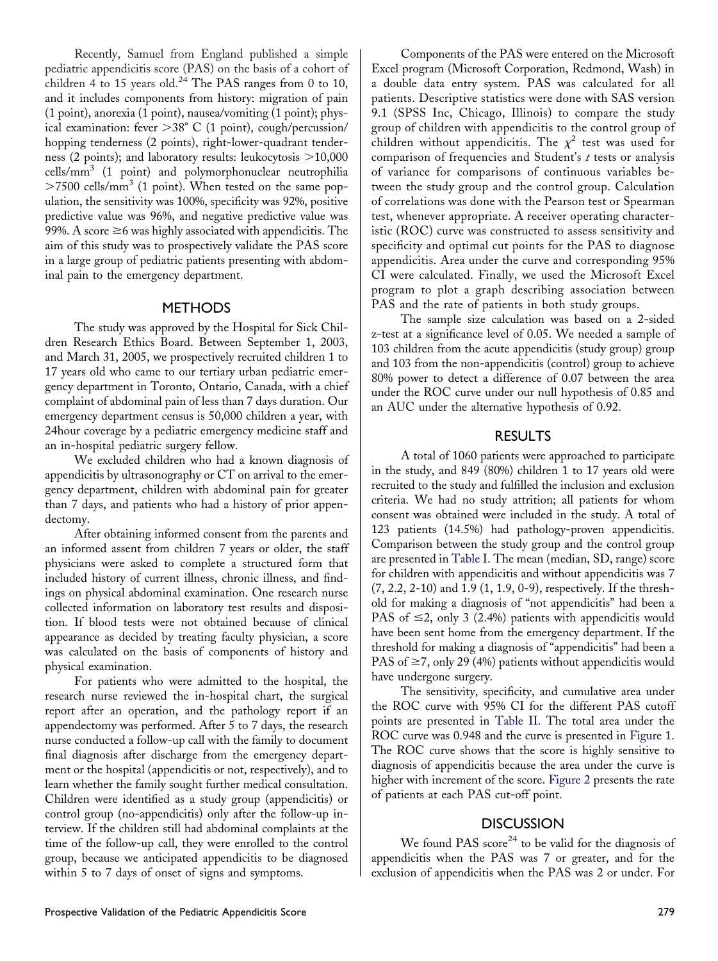Recently, Samuel from England published a simple pediatric appendicitis score (PAS) on the basis of a cohort of children 4 to 15 years old.<sup>24</sup> The PAS ranges from 0 to 10, and it includes components from history: migration of pain (1 point), anorexia (1 point), nausea/vomiting (1 point); physical examination: fever  $>38^{\circ}$  C (1 point), cough/percussion/ hopping tenderness (2 points), right-lower-quadrant tenderness (2 points); and laboratory results: leukocytosis  $>10,000$  $cells/mm<sup>3</sup>$  (1 point) and polymorphonuclear neutrophilia  $>7500$  cells/mm<sup>3</sup> (1 point). When tested on the same population, the sensitivity was 100%, specificity was 92%, positive predictive value was 96%, and negative predictive value was 99%. A score  $\geq$ 6 was highly associated with appendicitis. The aim of this study was to prospectively validate the PAS score in a large group of pediatric patients presenting with abdominal pain to the emergency department.

### **METHODS**

The study was approved by the Hospital for Sick Children Research Ethics Board. Between September 1, 2003, and March 31, 2005, we prospectively recruited children 1 to 17 years old who came to our tertiary urban pediatric emergency department in Toronto, Ontario, Canada, with a chief complaint of abdominal pain of less than 7 days duration. Our emergency department census is 50,000 children a year, with 24hour coverage by a pediatric emergency medicine staff and an in-hospital pediatric surgery fellow.

We excluded children who had a known diagnosis of appendicitis by ultrasonography or CT on arrival to the emergency department, children with abdominal pain for greater than 7 days, and patients who had a history of prior appendectomy.

After obtaining informed consent from the parents and an informed assent from children 7 years or older, the staff physicians were asked to complete a structured form that included history of current illness, chronic illness, and findings on physical abdominal examination. One research nurse collected information on laboratory test results and disposition. If blood tests were not obtained because of clinical appearance as decided by treating faculty physician, a score was calculated on the basis of components of history and physical examination.

For patients who were admitted to the hospital, the research nurse reviewed the in-hospital chart, the surgical report after an operation, and the pathology report if an appendectomy was performed. After 5 to 7 days, the research nurse conducted a follow-up call with the family to document final diagnosis after discharge from the emergency department or the hospital (appendicitis or not, respectively), and to learn whether the family sought further medical consultation. Children were identified as a study group (appendicitis) or control group (no-appendicitis) only after the follow-up interview. If the children still had abdominal complaints at the time of the follow-up call, they were enrolled to the control group, because we anticipated appendicitis to be diagnosed within 5 to 7 days of onset of signs and symptoms.

Components of the PAS were entered on the Microsoft Excel program (Microsoft Corporation, Redmond, Wash) in a double data entry system. PAS was calculated for all patients. Descriptive statistics were done with SAS version 9.1 (SPSS Inc, Chicago, Illinois) to compare the study group of children with appendicitis to the control group of children without appendicitis. The  $\chi^2$  test was used for comparison of frequencies and Student's *t* tests or analysis of variance for comparisons of continuous variables between the study group and the control group. Calculation of correlations was done with the Pearson test or Spearman test, whenever appropriate. A receiver operating characteristic (ROC) curve was constructed to assess sensitivity and specificity and optimal cut points for the PAS to diagnose appendicitis. Area under the curve and corresponding 95% CI were calculated. Finally, we used the Microsoft Excel program to plot a graph describing association between PAS and the rate of patients in both study groups.

The sample size calculation was based on a 2-sided z-test at a significance level of 0.05. We needed a sample of 103 children from the acute appendicitis (study group) group and 103 from the non-appendicitis (control) group to achieve 80% power to detect a difference of 0.07 between the area under the ROC curve under our null hypothesis of 0.85 and an AUC under the alternative hypothesis of 0.92.

### **RESULTS**

A total of 1060 patients were approached to participate in the study, and 849 (80%) children 1 to 17 years old were recruited to the study and fulfilled the inclusion and exclusion criteria. We had no study attrition; all patients for whom consent was obtained were included in the study. A total of 123 patients (14.5%) had pathology-proven appendicitis. Comparison between the study group and the control group are presented in [Table I.](#page-2-0) The mean (median, SD, range) score for children with appendicitis and without appendicitis was 7 (7, 2.2, 2-10) and 1.9 (1, 1.9, 0-9), respectively. If the threshold for making a diagnosis of "not appendicitis" had been a PAS of  $\leq$ 2, only 3 (2.4%) patients with appendicitis would have been sent home from the emergency department. If the threshold for making a diagnosis of "appendicitis" had been a PAS of  $\geq$ 7, only 29 (4%) patients without appendicitis would have undergone surgery.

The sensitivity, specificity, and cumulative area under the ROC curve with 95% CI for the different PAS cutoff points are presented in [Table II.](#page-2-0) The total area under the ROC curve was 0.948 and the curve is presented in [Figure 1.](#page-2-0) The ROC curve shows that the score is highly sensitive to diagnosis of appendicitis because the area under the curve is higher with increment of the score. [Figure 2](#page-3-0) presents the rate of patients at each PAS cut-off point.

# **DISCUSSION**

We found PAS score<sup>[24](#page-4-0)</sup> to be valid for the diagnosis of appendicitis when the PAS was 7 or greater, and for the exclusion of appendicitis when the PAS was 2 or under. For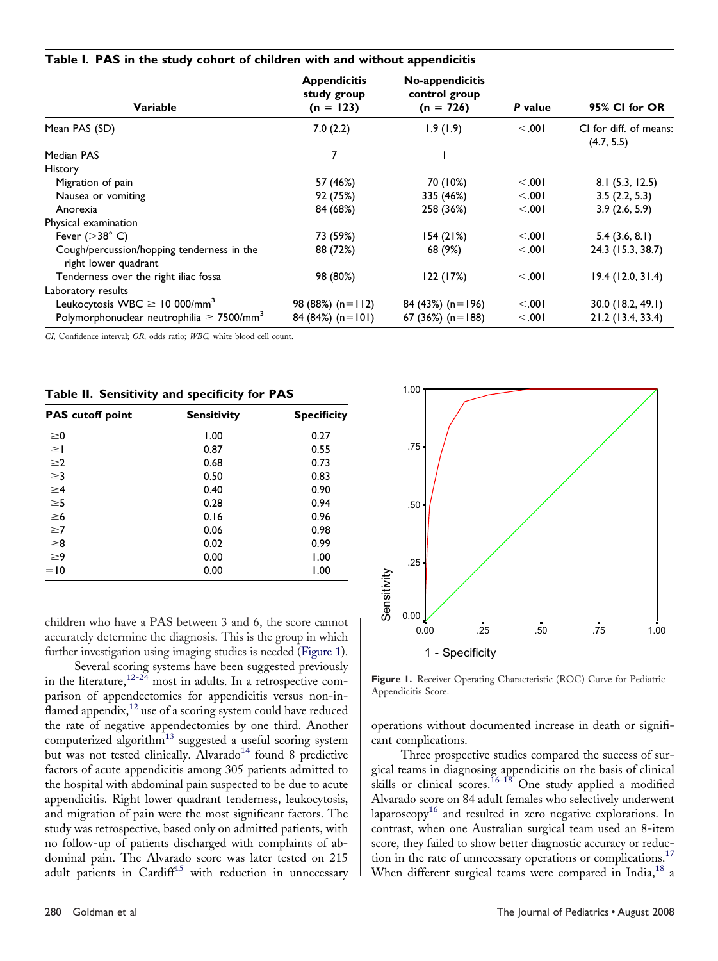| Variable                                                           | <b>Appendicitis</b><br>study group<br>$(n = 123)$ | No-appendicitis<br>control group<br>$(n = 726)$ | P value | 95% CI for OR                        |
|--------------------------------------------------------------------|---------------------------------------------------|-------------------------------------------------|---------|--------------------------------------|
| Mean PAS (SD)                                                      | 7.0(2.2)                                          | 1.9(1.9)                                        | < .001  | CI for diff. of means:<br>(4.7, 5.5) |
| Median PAS                                                         | 7                                                 |                                                 |         |                                      |
| <b>History</b>                                                     |                                                   |                                                 |         |                                      |
| Migration of pain                                                  | 57 (46%)                                          | 70 (10%)                                        | < 0.01  | 8.1(5.3, 12.5)                       |
| Nausea or vomiting                                                 | 92 (75%)                                          | 335 (46%)                                       | < 0.01  | 3.5(2.2, 5.3)                        |
| Anorexia                                                           | 84 (68%)                                          | 258 (36%)                                       | < 0.01  | 3.9(2.6, 5.9)                        |
| Physical examination                                               |                                                   |                                                 |         |                                      |
| Fever ( $>38^{\circ}$ C)                                           | 73 (59%)                                          | 154 (21%)                                       | < 0.01  | 5.4(3.6, 8.1)                        |
| Cough/percussion/hopping tenderness in the<br>right lower quadrant | 88 (72%)                                          | 68 (9%)                                         | < .001  | 24.3 (15.3, 38.7)                    |
| Tenderness over the right iliac fossa                              | 98 (80%)                                          | 122 (17%)                                       | < .001  | 19.4(12.0, 31.4)                     |
| Laboratory results                                                 |                                                   |                                                 |         |                                      |
| Leukocytosis WBC $\geq$ 10 000/mm <sup>3</sup>                     | 98 (88%) $(n=112)$                                | 84 (43%) ( $n = 196$ )                          | < 0.01  | 30.0 (18.2, 49.1)                    |
| Polymorphonuclear neutrophilia $\geq$ 7500/mm <sup>3</sup>         | 84 (84%) $(n=101)$                                | 67 (36%) $(n=188)$                              | < .001  | 21.2 (13.4, 33.4)                    |

## <span id="page-2-0"></span>**Table I. PAS in the study cohort of children with and without appendicitis**

*CI,* Confidence interval; *OR,* odds ratio; *WBC,* white blood cell count.

| Table II. Sensitivity and specificity for PAS |                    |                    |  |  |
|-----------------------------------------------|--------------------|--------------------|--|--|
| <b>PAS</b> cutoff point                       | <b>Sensitivity</b> | <b>Specificity</b> |  |  |
| $\geq 0$                                      | 1.00               | 0.27               |  |  |
| $\geq$                                        | 0.87               | 0.55               |  |  |
| $\geq$ 2                                      | 0.68               | 0.73               |  |  |
| $\geq$ 3                                      | 0.50               | 0.83               |  |  |
| $\geq 4$                                      | 0.40               | 0.90               |  |  |
| $\geq$ 5                                      | 0.28               | 0.94               |  |  |
| $\geq 6$                                      | 0.16               | 0.96               |  |  |
| $\geq 7$                                      | 0.06               | 0.98               |  |  |
| $\geq 8$                                      | 0.02               | 0.99               |  |  |
| $\geq$ 9                                      | 0.00               | 1.00               |  |  |
| $= 10$                                        | 0.00               | 1.00               |  |  |

children who have a PAS between 3 and 6, the score cannot accurately determine the diagnosis. This is the group in which further investigation using imaging studies is needed (Figure 1).

Several scoring systems have been suggested previously in the literature,  $12-24$  most in adults. In a retrospective comparison of appendectomies for appendicitis versus non-in-flamed appendix,<sup>[12](#page-4-0)</sup> use of a scoring system could have reduced the rate of negative appendectomies by one third. Another computerized algorith $m<sup>13</sup>$  $m<sup>13</sup>$  $m<sup>13</sup>$  suggested a useful scoring system but was not tested clinically. Alvarado<sup>[14](#page-4-0)</sup> found 8 predictive factors of acute appendicitis among 305 patients admitted to the hospital with abdominal pain suspected to be due to acute appendicitis. Right lower quadrant tenderness, leukocytosis, and migration of pain were the most significant factors. The study was retrospective, based only on admitted patients, with no follow-up of patients discharged with complaints of abdominal pain. The Alvarado score was later tested on 215 adult patients in  $Cardiff^{15}$  $Cardiff^{15}$  $Cardiff^{15}$  with reduction in unnecessary



**Figure 1.** Receiver Operating Characteristic (ROC) Curve for Pediatric Appendicitis Score.

operations without documented increase in death or significant complications.

Three prospective studies compared the success of surgical teams in diagnosing appendicitis on the basis of clinical skills or clinical scores.<sup>[16-18](#page-4-0)</sup> One study applied a modified Alvarado score on 84 adult females who selectively underwent laparoscopy<sup>[16](#page-4-0)</sup> and resulted in zero negative explorations. In contrast, when one Australian surgical team used an 8-item score, they failed to show better diagnostic accuracy or reduc-tion in the rate of unnecessary operations or complications.<sup>[17](#page-4-0)</sup> When different surgical teams were compared in India, $^{18}$  $^{18}$  $^{18}$  a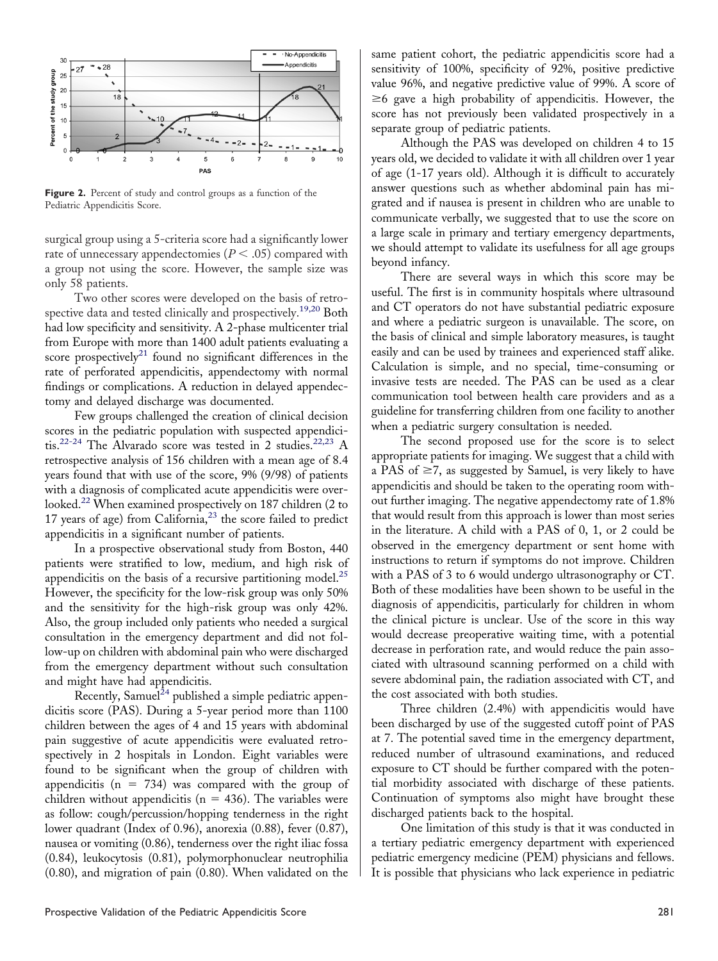<span id="page-3-0"></span>

Figure 2. Percent of study and control groups as a function of the Pediatric Appendicitis Score.

surgical group using a 5-criteria score had a significantly lower rate of unnecessary appendectomies  $(P < .05)$  compared with a group not using the score. However, the sample size was only 58 patients.

Two other scores were developed on the basis of retro-spective data and tested clinically and prospectively.<sup>[19,20](#page-4-0)</sup> Both had low specificity and sensitivity. A 2-phase multicenter trial from Europe with more than 1400 adult patients evaluating a score prospectively<sup>[21](#page-4-0)</sup> found no significant differences in the rate of perforated appendicitis, appendectomy with normal findings or complications. A reduction in delayed appendectomy and delayed discharge was documented.

Few groups challenged the creation of clinical decision scores in the pediatric population with suspected appendicitis.[22-24](#page-4-0) The Alvarado score was tested in 2 studies.[22,23](#page-4-0) A retrospective analysis of 156 children with a mean age of 8.4 years found that with use of the score, 9% (9/98) of patients with a diagnosis of complicated acute appendicitis were over-looked.<sup>[22](#page-4-0)</sup> When examined prospectively on 187 children (2 to 17 years of age) from California, $23$  the score failed to predict appendicitis in a significant number of patients.

In a prospective observational study from Boston, 440 patients were stratified to low, medium, and high risk of appendicitis on the basis of a recursive partitioning model.<sup>[25](#page-4-0)</sup> However, the specificity for the low-risk group was only 50% and the sensitivity for the high-risk group was only 42%. Also, the group included only patients who needed a surgical consultation in the emergency department and did not follow-up on children with abdominal pain who were discharged from the emergency department without such consultation and might have had appendicitis.

Recently, Samuel<sup>[24](#page-4-0)</sup> published a simple pediatric appendicitis score (PAS). During a 5-year period more than 1100 children between the ages of 4 and 15 years with abdominal pain suggestive of acute appendicitis were evaluated retrospectively in 2 hospitals in London. Eight variables were found to be significant when the group of children with appendicitis ( $n = 734$ ) was compared with the group of children without appendicitis ( $n = 436$ ). The variables were as follow: cough/percussion/hopping tenderness in the right lower quadrant (Index of 0.96), anorexia (0.88), fever (0.87), nausea or vomiting (0.86), tenderness over the right iliac fossa (0.84), leukocytosis (0.81), polymorphonuclear neutrophilia (0.80), and migration of pain (0.80). When validated on the

same patient cohort, the pediatric appendicitis score had a sensitivity of 100%, specificity of 92%, positive predictive value 96%, and negative predictive value of 99%. A score of  $\geq 6$  gave a high probability of appendicitis. However, the score has not previously been validated prospectively in a separate group of pediatric patients.

Although the PAS was developed on children 4 to 15 years old, we decided to validate it with all children over 1 year of age (1-17 years old). Although it is difficult to accurately answer questions such as whether abdominal pain has migrated and if nausea is present in children who are unable to communicate verbally, we suggested that to use the score on a large scale in primary and tertiary emergency departments, we should attempt to validate its usefulness for all age groups beyond infancy.

There are several ways in which this score may be useful. The first is in community hospitals where ultrasound and CT operators do not have substantial pediatric exposure and where a pediatric surgeon is unavailable. The score, on the basis of clinical and simple laboratory measures, is taught easily and can be used by trainees and experienced staff alike. Calculation is simple, and no special, time-consuming or invasive tests are needed. The PAS can be used as a clear communication tool between health care providers and as a guideline for transferring children from one facility to another when a pediatric surgery consultation is needed.

The second proposed use for the score is to select appropriate patients for imaging. We suggest that a child with a PAS of  $\geq$ 7, as suggested by Samuel, is very likely to have appendicitis and should be taken to the operating room without further imaging. The negative appendectomy rate of 1.8% that would result from this approach is lower than most series in the literature. A child with a PAS of 0, 1, or 2 could be observed in the emergency department or sent home with instructions to return if symptoms do not improve. Children with a PAS of 3 to 6 would undergo ultrasonography or CT. Both of these modalities have been shown to be useful in the diagnosis of appendicitis, particularly for children in whom the clinical picture is unclear. Use of the score in this way would decrease preoperative waiting time, with a potential decrease in perforation rate, and would reduce the pain associated with ultrasound scanning performed on a child with severe abdominal pain, the radiation associated with CT, and the cost associated with both studies.

Three children (2.4%) with appendicitis would have been discharged by use of the suggested cutoff point of PAS at 7. The potential saved time in the emergency department, reduced number of ultrasound examinations, and reduced exposure to CT should be further compared with the potential morbidity associated with discharge of these patients. Continuation of symptoms also might have brought these discharged patients back to the hospital.

One limitation of this study is that it was conducted in a tertiary pediatric emergency department with experienced pediatric emergency medicine (PEM) physicians and fellows. It is possible that physicians who lack experience in pediatric